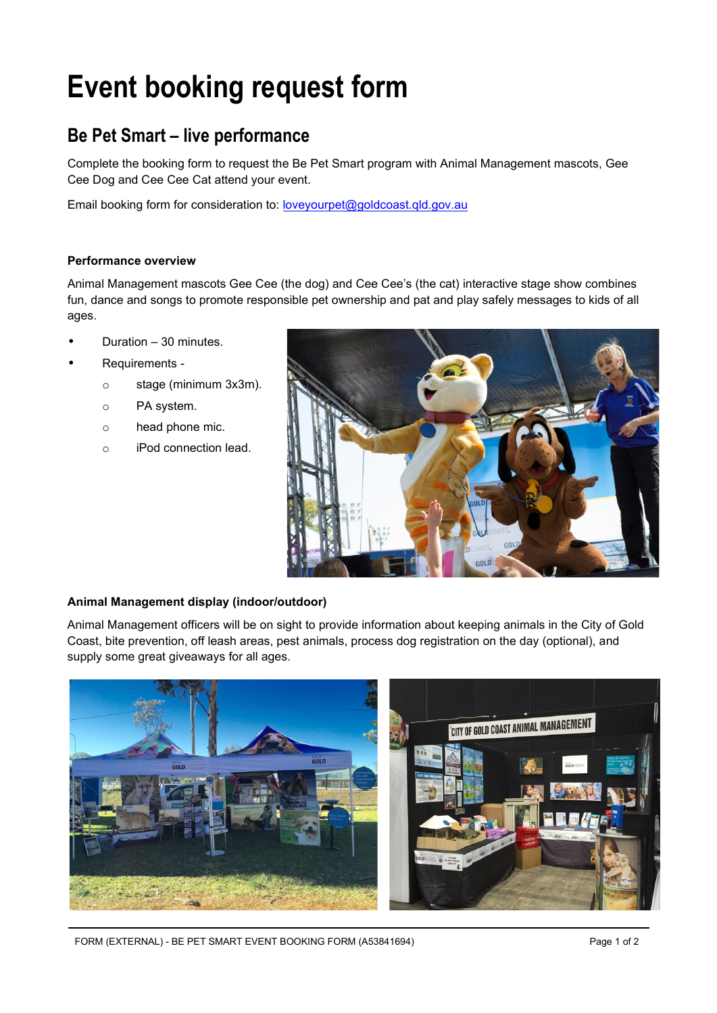## **Event booking request form**

## **Be Pet Smart – live performance**

Complete the booking form to request the Be Pet Smart program with Animal Management mascots, Gee Cee Dog and Cee Cee Cat attend your event.

Email booking form for consideration to: loveyourpet@goldcoast.gld.gov.au

## **Performance overview**

Animal Management mascots Gee Cee (the dog) and Cee Cee's (the cat) interactive stage show combines fun, dance and songs to promote responsible pet ownership and pat and play safely messages to kids of all ages.

- Duration 30 minutes.
- Requirements
	- o stage (minimum 3x3m).
	- o PA system.
	- o head phone mic.
	- o iPod connection lead.



## **Animal Management display (indoor/outdoor)**

Animal Management officers will be on sight to provide information about keeping animals in the City of Gold Coast, bite prevention, off leash areas, pest animals, process dog registration on the day (optional), and supply some great giveaways for all ages.



FORM (EXTERNAL) - BE PET SMART EVENT BOOKING FORM (A53841694) Page 1 of 2